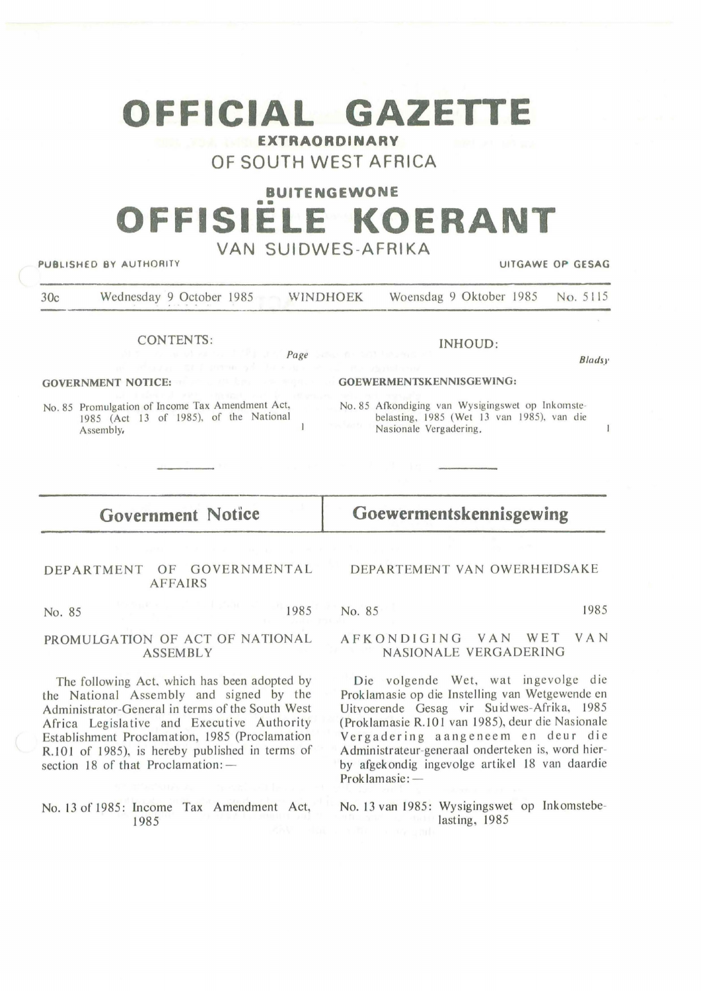# **OFFICIAL GAZETTE**

**EXTRAORDINARY OF SOUTH WEST AFRICA** 

## **BUITENGEWONE**

# •• **OFFISIELE KOERANT**

| VAN SUIDWES-AFRIKA<br>PUBLISHED BY AUTHORITY<br>UITGAWE OP GESAG                                        |                                                                                                                          |
|---------------------------------------------------------------------------------------------------------|--------------------------------------------------------------------------------------------------------------------------|
| Wednesday 9 October 1985 WINDHOEK<br>30c                                                                | Woensdag 9 Oktober 1985<br>No. 5115                                                                                      |
| <b>CONTENTS:</b>                                                                                        | INHOUD:                                                                                                                  |
| and the state of the page of the first state of the state                                               | <b>Bladsy</b>                                                                                                            |
| <b>GOVERNMENT NOTICE:</b>                                                                               | GOEWERMENTSKENNISGEWING:                                                                                                 |
| No. 85 Promulgation of Income Tax Amendment Act,<br>1985 (Act 13 of 1985), of the National<br>Assembly, | No. 85 Afkondiging van Wysigingswet op Inkomste-<br>belasting, 1985 (Wet 13 van 1985), van die<br>Nasionale Vergadering. |
| <b>Government Notice</b>                                                                                | Goewermentskennisgewing                                                                                                  |
|                                                                                                         |                                                                                                                          |
| GOVERNMENTAL<br>DEPARTMENT<br>OF<br><b>AFFAIRS</b>                                                      | DEPARTEMENT VAN OWERHEIDSAKE                                                                                             |
| 1985<br>No. 85                                                                                          | 1985<br>No. 85                                                                                                           |
| PROMULGATION OF ACT OF NATIONAL<br><b>ASSEMBLY</b>                                                      | <b>VAN</b><br>VAN<br>WET<br>AFKONDIGING<br>NASIONALE VERGADERING                                                         |

The following Act, which has been adopted by the National Assembly and signed by the Administrator-General in terms of the South West Africa Legislative and Executive Authority Establishment Proclamation, 1985 (Proclamation R.101 of 1985), is hereby published in terms of section 18 of that Proclamation: -

No. 13 of 1985: Income Tax Amendment Act, 1985

(Proklamasie R.101 van 1985), deur die Nasionale Vergadering aangeneem en deur die Administrateur-generaal onderteken is, word hierby afgekondig ingevolge artikel 18 van daardie Proklamasie: -

Die vo lgende Wet, wat ingevolge die Proklamasie op die Instelling van Wetgewende en Uitvoerende Gesag vir Su id wes-Afrika, 1985

No. 13 van 1985: Wysigingswet op Inkomstebelasting, 1985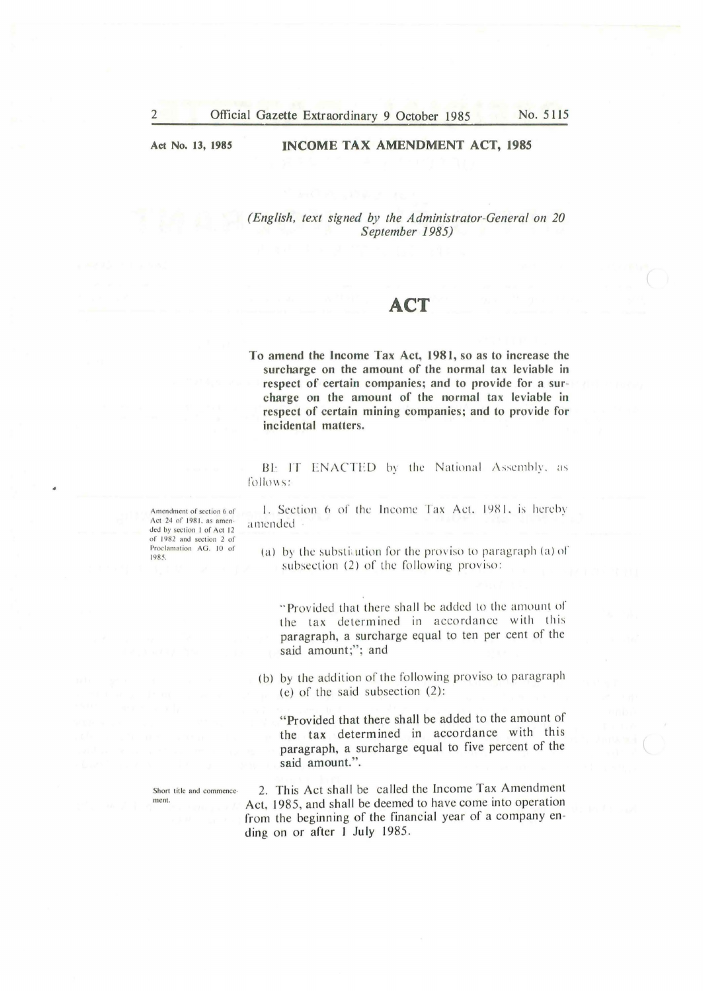**Act No. 13, 1985** 

#### **INCOME TAX AMENDMENT ACT, 1985**

*(English, text signed by the Administrator-General on 20 September 1985)* 

### **ACT**

**To amend the Income Tax Act, 1981, so as to increase the surcharge on the amount of the normal tax leviable in respect of certain companies; and to provide for a sur**charge on the amount of the normal tax leviable in **respect of certain mining companies; and to provide for incidental matters.** 

BE IT ENACTED by the National Assembly, as follows:

1. Section 6 of the Income Tax Act. 1981, is hereby a mended

(a) by the substimation for the proviso to paragraph (a) of subsection  $(2)$  of the following proviso:

"Provided that there shall be added to the amount of the tax determined in accordance with this paragraph, a surcharge equal to ten per cent of the said amount;"; and

(b) by the addition of the following proviso to paragraph (e) of the said subsection  $(2)$ :

"Provided that there shall be added to the amount of the tax determined in accordance with this paragraph, a surcharge equal to five percent of the said amount.".

2. This Act shall be called the Income Tax Amendment Act, 1985, and shall be deemed to have come into operation from the beginning of the financial year of a company ending on or after 1 July 1985.

A mendment of section 6 of Act 24 of 1981, as amended by section 1 of Act 12 of 1982 and section 2 of Proclamation AG. 10 of 1985.

Short title and commence ment.